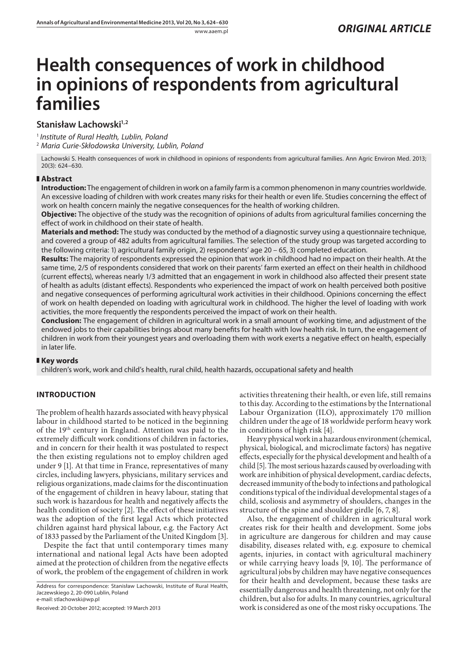# **Health consequences of work in childhood in opinions of respondents from agricultural families**

# Stanisław Lachowski<sup>1,2</sup>

<sup>1</sup> *Institute of Rural Health, Lublin, Poland*

2  *Maria Curie-Skłodowska University, Lublin, Poland*

Lachowski S. Health consequences of work in childhood in opinions of respondents from agricultural families. Ann Agric Environ Med. 2013; 20(3): 624–630.

## **Abstract**

**Introduction:** The engagement of children in work on a family farm is a common phenomenon in many countries worldwide. An excessive loading of children with work creates many risks for their health or even life. Studies concerning the effect of work on health concern mainly the negative consequences for the health of working children.

**Objective:** The objective of the study was the recognition of opinions of adults from agricultural families concerning the effect of work in childhood on their state of health.

**Materials and method:** The study was conducted by the method of a diagnostic survey using a questionnaire technique, and covered a group of 482 adults from agricultural families. The selection of the study group was targeted according to the following criteria: 1) agricultural family origin, 2) respondents' age 20 – 65, 3) completed education.

**Results:** The majority of respondents expressed the opinion that work in childhood had no impact on their health. At the same time, 2/5 of respondents considered that work on their parents' farm exerted an effect on their health in childhood (current effects), whereas nearly 1/3 admitted that an engagement in work in childhood also affected their present state of health as adults (distant effects). Respondents who experienced the impact of work on health perceived both positive and negative consequences of performing agricultural work activities in their childhood. Opinions concerning the effect of work on health depended on loading with agricultural work in childhood. The higher the level of loading with work activities, the more frequently the respondents perceived the impact of work on their health.

**Conclusion:** The engagement of children in agricultural work in a small amount of working time, and adjustment of the endowed jobs to their capabilities brings about many benefits for health with low health risk. In turn, the engagement of children in work from their youngest years and overloading them with work exerts a negative effect on health, especially in later life.

## **Key words**

children's work, work and child's health, rural child, health hazards, occupational safety and health

# **Introduction**

The problem of health hazards associated with heavy physical labour in childhood started to be noticed in the beginning of the 19th century in England. Attention was paid to the extremely difficult work conditions of children in factories, and in concern for their health it was postulated to respect the then existing regulations not to employ children aged under 9 [1]. At that time in France, representatives of many circles, including lawyers, physicians, military services and religious organizations, made claims for the discontinuation of the engagement of children in heavy labour, stating that such work is hazardous for health and negatively affects the health condition of society [2]. The effect of these initiatives was the adoption of the first legal Acts which protected children against hard physical labour, e.g. the Factory Act of 1833 passed by the Parliament of the United Kingdom [3].

Despite the fact that until contemporary times many international and national legal Acts have been adopted aimed at the protection of children from the negative effects of work, the problem of the engagement of children in work

Address for correspondence: Stanisław Lachowski, Institute of Rural Health, Jaczewskiego 2, 20‑090 Lublin, Poland e-mail: stlachowski@wp.pl

Received: 20 October 2012; accepted: 19 March 2013

activities threatening their health, or even life, still remains to this day. According to the estimations by the International Labour Organization (ILO), approximately 170 million children under the age of 18 worldwide perform heavy work in conditions of high risk [4].

Heavy physical work in a hazardous environment (chemical, physical, biological, and microclimate factors) has negative effects, especially for the physical development and health of a child [5]. The most serious hazards caused by overloading with work are inhibition of physical development, cardiac defects, decreased immunity of the body to infections and pathological conditions typical of the individual developmental stages of a child, scoliosis and asymmetry of shoulders, changes in the structure of the spine and shoulder girdle [6, 7, 8].

Also, the engagement of children in agricultural work creates risk for their health and development. Some jobs in agriculture are dangerous for children and may cause disability, diseases related with, e.g. exposure to chemical agents, injuries, in contact with agricultural machinery or while carrying heavy loads [9, 10]. The performance of agricultural jobs by children may have negative consequences for their health and development, because these tasks are essentially dangerous and health threatening, not only for the children, but also for adults. In many countries, agricultural work is considered as one of the most risky occupations. The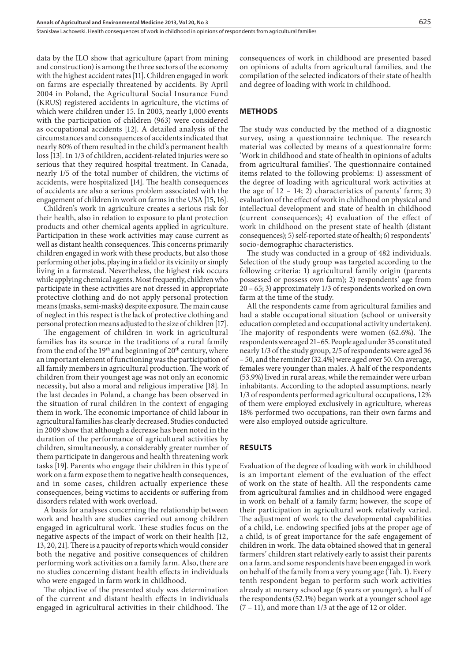data by the ILO show that agriculture (apart from mining and construction) is among the three sectors of the economy with the highest accident rates [11]. Children engaged in work on farms are especially threatened by accidents. By April 2004 in Poland, the Agricultural Social Insurance Fund (KRUS) registered accidents in agriculture, the victims of which were children under 15. In 2003, nearly 1,000 events with the participation of children (963) were considered as occupational accidents [12]. A detailed analysis of the circumstances and consequences of accidents indicated that nearly 80% of them resulted in the child's permanent health loss [13]. In 1/3 of children, accident-related injuries were so serious that they required hospital treatment. In Canada, nearly 1/5 of the total number of children, the victims of accidents, were hospitalized [14]. The health consequences of accidents are also a serious problem associated with the engagement of children in work on farms in the USA [15, 16].

Children's work in agriculture creates a serious risk for their health, also in relation to exposure to plant protection products and other chemical agents applied in agriculture. Participation in these work activities may cause current as well as distant health consequences. This concerns primarily children engaged in work with these products, but also those performing other jobs, playing in a field or its vicinity or simply living in a farmstead. Nevertheless, the highest risk occurs while applying chemical agents. Most frequently, children who participate in these activities are not dressed in appropriate protective clothing and do not apply personal protection means (masks, semi-masks) despite exposure. The main cause of neglect in this respect is the lack of protective clothing and personal protection means adjusted to the size of children [17].

The engagement of children in work in agricultural families has its source in the traditions of a rural family from the end of the 19<sup>th</sup> and beginning of  $20<sup>th</sup>$  century, where an important element of functioning was the participation of all family members in agricultural production. The work of children from their youngest age was not only an economic necessity, but also a moral and religious imperative [18]. In the last decades in Poland, a change has been observed in the situation of rural children in the context of engaging them in work. The economic importance of child labour in agricultural families has clearly decreased. Studies conducted in 2009 show that although a decrease has been noted in the duration of the performance of agricultural activities by children, simultaneously, a considerably greater number of them participate in dangerous and health threatening work tasks [19]. Parents who engage their children in this type of work on a farm expose them to negative health consequences, and in some cases, children actually experience these consequences, being victims to accidents or suffering from disorders related with work overload.

A basis for analyses concerning the relationship between work and health are studies carried out among children engaged in agricultural work. These studies focus on the negative aspects of the impact of work on their health [12, 13, 20, 21]. There is a paucity of reports which would consider both the negative and positive consequences of children performing work activities on a family farm. Also, there are no studies concerning distant health effects in individuals who were engaged in farm work in childhood.

The objective of the presented study was determination of the current and distant health effects in individuals engaged in agricultural activities in their childhood. The consequences of work in childhood are presented based on opinions of adults from agricultural families, and the compilation of the selected indicators of their state of health and degree of loading with work in childhood.

#### **Methods**

The study was conducted by the method of a diagnostic survey, using a questionnaire technique. The research material was collected by means of a questionnaire form: 'Work in childhood and state of health in opinions of adults from agricultural families'. The questionnaire contained items related to the following problems: 1) assessment of the degree of loading with agricultural work activities at the age of  $12 - 14$ ; 2) characteristics of parents' farm; 3) evaluation of the effect of work in childhood on physical and intellectual development and state of health in childhood (current consequences); 4) evaluation of the effect of work in childhood on the present state of health (distant consequences); 5) self-reported state of health; 6) respondents' socio-demographic characteristics.

The study was conducted in a group of 482 individuals. Selection of the study group was targeted according to the following criteria: 1) agricultural family origin (parents possessed or possess own farm); 2) respondents' age from 20 – 65; 3) approximately 1/3 of respondents worked on own farm at the time of the study.

All the respondents came from agricultural families and had a stable occupational situation (school or university education completed and occupational activity undertaken). The majority of respondents were women (62.6%). The respondents were aged 21–65. People aged under 35 constituted nearly 1/3 of the study group, 2/5 of respondents were aged 36 – 50, and the reminder (32.4%) were aged over 50. On average, females were younger than males. A half of the respondents (53.9%) lived in rural areas, while the remainder were urban inhabitants. According to the adopted assumptions, nearly 1/3 of respondents performed agricultural occupations, 12% of them were employed exclusively in agriculture, whereas 18% performed two occupations, ran their own farms and were also employed outside agriculture.

## **Results**

Evaluation of the degree of loading with work in childhood is an important element of the evaluation of the effect of work on the state of health. All the respondents came from agricultural families and in childhood were engaged in work on behalf of a family farm; however, the scope of their participation in agricultural work relatively varied. The adjustment of work to the developmental capabilities of a child, i.e. endowing specified jobs at the proper age of a child, is of great importance for the safe engagement of children in work. The data obtained showed that in general farmers' children start relatively early to assist their parents on a farm, and some respondents have been engaged in work on behalf of the family from a very young age (Tab. 1). Every tenth respondent began to perform such work activities already at nursery school age (6 years or younger), a half of the respondents (52.1%) began work at a younger school age (7 – 11), and more than 1/3 at the age of 12 or older.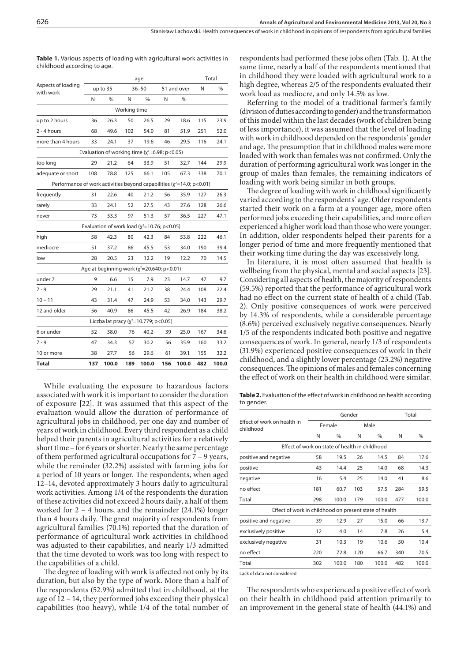| <b>Table 1.</b> Various aspects of loading with agricultural work activities in |  |  |
|---------------------------------------------------------------------------------|--|--|
| childhood according to age.                                                     |  |  |

|                                                                              | age |                                                    |              |               |     |               | Total |               |
|------------------------------------------------------------------------------|-----|----------------------------------------------------|--------------|---------------|-----|---------------|-------|---------------|
| Aspects of loading<br>with work                                              |     | up to 35                                           |              | $36 - 50$     |     | 51 and over   | N     | $\frac{0}{6}$ |
|                                                                              | N   | $\frac{0}{0}$                                      | N            | $\frac{0}{0}$ | N   | $\frac{0}{0}$ |       |               |
|                                                                              |     |                                                    | Working time |               |     |               |       |               |
| up to 2 hours                                                                | 36  | 26.3                                               | 50           | 26.5          | 29  | 18.6          | 115   | 23.9          |
| 2 - 4 hours                                                                  | 68  | 49.6                                               | 102          | 54.0          | 81  | 51.9          | 251   | 52.0          |
| more than 4 hours                                                            | 33  | 24.1                                               | 37           | 19.6          | 46  | 29.5          | 116   | 24.1          |
|                                                                              |     | Evaluation of working time $(x^2=6.98; p<0.05)$    |              |               |     |               |       |               |
| too long                                                                     | 29  | 21.2                                               | 64           | 33.9          | 51  | 32.7          | 144   | 29.9          |
| adequate or short                                                            | 108 | 78.8                                               | 125          | 66.1          | 105 | 67.3          | 338   | 70.1          |
| Performance of work activities beyond capabilities ( $\chi^2$ =14.0; p<0.01) |     |                                                    |              |               |     |               |       |               |
| frequently                                                                   | 31  | 22.6                                               | 40           | 21.2          | 56  | 35.9          | 127   | 26.3          |
| rarely                                                                       | 33  | 24.1                                               | 52           | 27.5          | 43  | 27.6          | 128   | 26.6          |
| never                                                                        | 73  | 53.3                                               | 97           | 51.3          | 57  | 36.5          | 227   | 47.1          |
|                                                                              |     | Evaluation of work load ( $\chi^2$ =10.76; p<0.05) |              |               |     |               |       |               |
| high                                                                         | 58  | 42.3                                               | 80           | 42.3          | 84  | 53.8          | 222   | 46.1          |
| mediocre                                                                     | 51  | 37.2                                               | 86           | 45.5          | 53  | 34.0          | 190   | 39.4          |
| low                                                                          | 28  | 20.5                                               | 23           | 12.2          | 19  | 12.2          | 70    | 14.5          |
|                                                                              |     | Age at beginning work ( $x^2$ =20.640; p<0.01)     |              |               |     |               |       |               |
| under 7                                                                      | 9   | 6.6                                                | 15           | 7.9           | 23  | 14.7          | 47    | 9.7           |
| $7 - 9$                                                                      | 29  | 21.1                                               | 41           | 21.7          | 38  | 24.4          | 108   | 22.4          |
| $10 - 11$                                                                    | 43  | 31.4                                               | 47           | 24.9          | 53  | 34.0          | 143   | 29.7          |
| 12 and older                                                                 | 56  | 40.9                                               | 86           | 45.5          | 42  | 26.9          | 184   | 38.2          |
|                                                                              |     | Liczba lat pracy ( $x^2$ =10.779; p<0.05)          |              |               |     |               |       |               |
| 6 or under                                                                   | 52  | 38.0                                               | 76           | 40.2          | 39  | 25.0          | 167   | 34.6          |
| $7 - 9$                                                                      | 47  | 34.3                                               | 57           | 30.2          | 56  | 35.9          | 160   | 33.2          |
| 10 or more                                                                   | 38  | 27.7                                               | 56           | 29.6          | 61  | 39.1          | 155   | 32.2          |
| Total                                                                        | 137 | 100.0                                              | 189          | 100.0         | 156 | 100.0         | 482   | 100.0         |

While evaluating the exposure to hazardous factors associated with work it is important to consider the duration of exposure [22]. It was assumed that this aspect of the evaluation would allow the duration of performance of agricultural jobs in childhood, per one day and number of years of work in childhood. Every third respondent as a child helped their parents in agricultural activities for a relatively short time – for 6 years or shorter. Nearly the same percentage of them performed agricultural occupations for 7 – 9 years, while the reminder (32.2%) assisted with farming jobs for a period of 10 years or longer. The respondents, when aged 12–14, devoted approximately 3 hours daily to agricultural work activities. Among 1/4 of the respondents the duration of these activities did not exceed 2 hours daily, a half of them worked for 2 – 4 hours, and the remainder (24.1%) longer than 4 hours daily. The great majority of respondents from agricultural families (70.1%) reported that the duration of performance of agricultural work activities in childhood was adjusted to their capabilities, and nearly 1/3 admitted that the time devoted to work was too long with respect to the capabilities of a child.

The degree of loading with work is affected not only by its duration, but also by the type of work. More than a half of the respondents (52.9%) admitted that in childhood, at the age of 12 – 14, they performed jobs exceeding their physical capabilities (too heavy), while 1/4 of the total number of respondents had performed these jobs often (Tab. 1). At the same time, nearly a half of the respondents mentioned that in childhood they were loaded with agricultural work to a high degree, whereas 2/5 of the respondents evaluated their work load as mediocre, and only 14.5% as low.

Referring to the model of a traditional farmer's family (division of duties according to gender) and the transformation of this model within the last decades (work of children being of less importance), it was assumed that the level of loading with work in childhood depended on the respondents' gender and age. The presumption that in childhood males were more loaded with work than females was not confirmed. Only the duration of performing agricultural work was longer in the group of males than females, the remaining indicators of loading with work being similar in both groups.

The degree of loading with work in childhood significantly varied according to the respondents' age. Older respondents started their work on a farm at a younger age, more often performed jobs exceeding their capabilities, and more often experienced a higher work load than those who were younger. In addition, older respondents helped their parents for a longer period of time and more frequently mentioned that their working time during the day was excessively long.

In literature, it is most often assumed that health is wellbeing from the physical, mental and social aspects [23]. Considering all aspects of health, the majority of respondents (59.5%) reported that the performance of agricultural work had no effect on the current state of health of a child (Tab. 2). Only positive consequences of work were perceived by 14.3% of respondents, while a considerable percentage (8.6%) perceived exclusively negative consequences. Nearly 1/5 of the respondents indicated both positive and negative consequences of work. In general, nearly 1/3 of respondents (31.9%) experienced positive consequences of work in their childhood, and a slightly lower percentage (23.2%) negative consequences. The opinions of males and females concerning the effect of work on their health in childhood were similar.

Table 2. Evaluation of the effect of work in childhood on health according to gender.

|                                                |       |        | Total  |      |                                                        |
|------------------------------------------------|-------|--------|--------|------|--------------------------------------------------------|
|                                                |       |        |        |      |                                                        |
| N                                              | %     | N      | $\%$   | N    | %                                                      |
| Effect of work on state of health in childhood |       |        |        |      |                                                        |
| 58                                             | 19.5  | 26     | 14.5   | 84   | 17.6                                                   |
| 43                                             | 14.4  | 25     | 14.0   | 68   | 14.3                                                   |
| 16                                             | 5.4   | 25     | 14.0   | 41   | 8.6                                                    |
| 181                                            | 60.7  | 103    | 57.5   | 284  | 59.5                                                   |
| 298                                            | 100.0 | 179    | 100.0  | 477  | 100.0                                                  |
|                                                |       |        |        |      |                                                        |
| 39                                             | 12.9  | 27     | 15.0   | 66   | 13.7                                                   |
| 12                                             | 4.0   | 14     | 7.8    | 26   | 5.4                                                    |
| 31                                             | 10.3  | 19     | 10.6   | 50   | 10.4                                                   |
| 220                                            | 72.8  | 120    | 66.7   | 340  | 70.5                                                   |
| 302                                            | 100.0 | 180    | 100.0  | 482  | 100.0                                                  |
|                                                |       | Female | Gender | Male | Effect of work in childhood on present state of health |

Lack of data not considered

The respondents who experienced a positive effect of work on their health in childhood paid attention primarily to an improvement in the general state of health (44.1%) and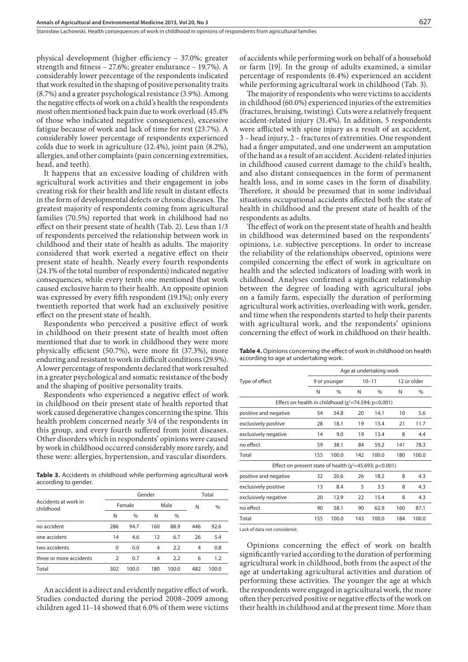physical development (higher efficiency – 37.0%; greater strength and fitness – 27.6%; greater endurance – 19.7%). A considerably lower percentage of the respondents indicated that work resulted in the shaping of positive personality traits (8.7%) and a greater psychological resistance (3.9%). Among the negative effects of work on a child's health the respondents most often mentioned back pain due to work overload (45.4% of those who indicated negative consequences), excessive fatigue because of work and lack of time for rest (23.7%). A considerably lower percentage of respondents experienced colds due to work in agriculture (12.4%), joint pain (8.2%), allergies, and other complaints (pain concerning extremities, head, and teeth).

It happens that an excessive loading of children with agricultural work activities and their engagement in jobs creating risk for their health and life result in distant effects in the form of developmental defects or chronic diseases. The greatest majority of respondents coming from agricultural families (70.5%) reported that work in childhood had no effect on their present state of health (Tab. 2). Less than 1/3 of respondents perceived the relationship between work in childhood and their state of health as adults. The majority considered that work exerted a negative effect on their present state of health. Nearly every fourth respondents (24.1% of the total number of respondents) indicated negative consequences, while every tenth one mentioned that work caused exclusive harm to their health. An opposite opinion was expressed by every fifth respondent (19.1%); only every twentieth reported that work had an exclusively positive effect on the present state of health.

Respondents who perceived a positive effect of work in childhood on their present state of health most often mentioned that due to work in childhood they were more physically efficient (50.7%), were more fit (37.3%), more enduring and resistant to work in difficult conditions (29.9%). A lower percentage of respondents declared that work resulted in a greater psychological and somatic resistance of the body and the shaping of positive personality traits.

Respondents who experienced a negative effect of work in childhood on their present state of health reported that work caused degenerative changes concerning the spine. This health problem concerned nearly 3/4 of the respondents in this group, and every fourth suffered from joint diseases. Other disorders which in respondents' opinions were caused by work in childhood occurred considerably more rarely, and these were: allergies, hypertension, and vascular disorders.

**Table 3.** Accidents in childhood while performing agricultural work according to gender.

| Accidents at work in<br>childhood |                | Gender        | Total |       |     |       |
|-----------------------------------|----------------|---------------|-------|-------|-----|-------|
|                                   |                | Female        |       | Male  | N   | %     |
|                                   | N              | $\frac{0}{0}$ | N     | $\%$  |     |       |
| no accident                       | 286            | 94.7          | 160   | 88.9  | 446 | 92.6  |
| one accident                      | 14             | 4.6           | 12    | 6.7   | 26  | 5.4   |
| two accidents                     | $\Omega$       | 0.0           | 4     | 2.2   | 4   | 0.8   |
| three or more accidents           | $\overline{2}$ | 0.7           | 4     | 2.2   | 6   | 1.2   |
| Total                             | 302            | 100.0         | 180   | 100.0 | 482 | 100.0 |

An accident is a direct and evidently negative effect of work. Studies conducted during the period 2008–2009 among children aged 11–14 showed that 6.0% of them were victims of accidents while performing work on behalf of a household or farm [19]. In the group of adults examined, a similar percentage of respondents (6.4%) experienced an accident while performing agricultural work in childhood (Tab. 3).

The majority of respondents who were victims to accidents in childhood (60.0%) experienced injuries of the extremities (fractures, bruising, twisting). Cuts were a relatively frequent accident-related injury (31.4%). In addition, 5 respondents were afflicted with spine injury as a result of an accident, 3 – head injury, 2 – fractures of extremities. One respondent had a finger amputated, and one underwent an amputation of the hand as a result of an accident. Accident-related injuries in childhood caused current damage to the child's health, and also distant consequences in the form of permanent health loss, and in some cases in the form of disability. Therefore, it should be presumed that in some individual situations occupational accidents affected both the state of health in childhood and the present state of health of the respondents as adults.

The effect of work on the present state of health and health in childhood was determined based on the respondents' opinions, i.e. subjective perceptions. In order to increase the reliability of the relationships observed, opinions were compiled concerning the effect of work in agriculture on health and the selected indicators of loading with work in childhood. Analyses confirmed a significant relationship between the degree of loading with agricultural jobs on a family farm, especially the duration of performing agricultural work activities, overloading with work, gender, and time when the respondents started to help their parents with agricultural work, and the respondents' opinions concerning the effect of work in childhood on their health.

**Table 4.** Opinions concerning the effect of work in childhood on health according to age at undertaking work.

|                                                                |                                                            | Age at undertaking work |     |               |             |       |  |  |
|----------------------------------------------------------------|------------------------------------------------------------|-------------------------|-----|---------------|-------------|-------|--|--|
| Type of effect                                                 |                                                            | 9 or younger            |     | $10 - 11$     | 12 or older |       |  |  |
|                                                                | N                                                          | $\%$                    | N   | $\frac{0}{0}$ | N           | $\%$  |  |  |
|                                                                | Effect on health in childhood ( $\chi^2$ =74.594; p<0.001) |                         |     |               |             |       |  |  |
| positive and negative                                          | 54                                                         | 34.8                    | 20  | 14.1          | 10          | 5.6   |  |  |
| exclusively positive                                           | 28                                                         | 18.1                    | 19  | 13.4          | 21          | 11.7  |  |  |
| exclusively negative                                           | 14                                                         | 9.0                     | 19  | 13.4          | 8           | 4.4   |  |  |
| no effect                                                      | 59                                                         | 38.1                    | 84  | 59.2          | 141         | 78.3  |  |  |
| Total                                                          | 155                                                        | 100.0                   | 142 | 100.0         | 180         | 100.0 |  |  |
| Effect on present state of health ( $\chi^2$ =45.693; p<0.001) |                                                            |                         |     |               |             |       |  |  |
| positive and negative                                          | 32                                                         | 20.6                    | 26  | 18.2          | 8           | 4.3   |  |  |
| exclusively positive                                           | 13                                                         | 8.4                     | 5   | 3.5           | 8           | 4.3   |  |  |
| exclusively negative                                           | 20                                                         | 12.9                    | 22  | 15.4          | 8           | 4.3   |  |  |
| no effect                                                      | 90                                                         | 58.1                    | 90  | 62.9          | 160         | 87.1  |  |  |
| Total                                                          | 155                                                        | 100.0                   | 143 | 100.0         | 184         | 100.0 |  |  |

Lack of data not considered.

Opinions concerning the effect of work on health significantly varied according to the duration of performing agricultural work in childhood, both from the aspect of the age at undertaking agricultural activities and duration of performing these activities. The younger the age at which the respondents were engaged in agricultural work, the more often they perceived positive or negative effects of the work on their health in childhood and at the present time. More than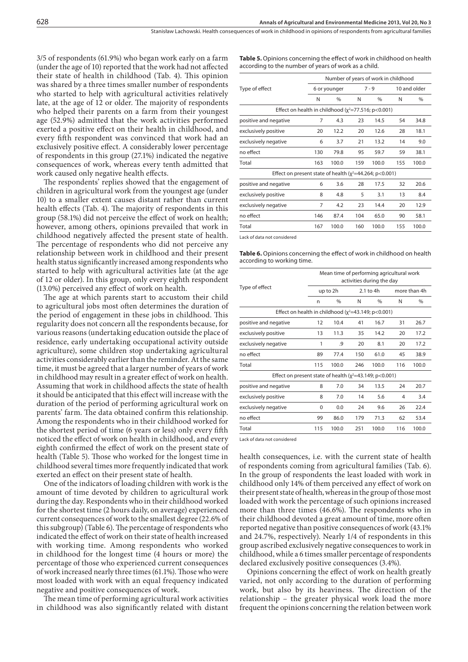3/5 of respondents (61.9%) who began work early on a farm (under the age of 10) reported that the work had not affected their state of health in childhood (Tab. 4). This opinion was shared by a three times smaller number of respondents who started to help with agricultural activities relatively late, at the age of 12 or older. The majority of respondents who helped their parents on a farm from their youngest age (52.9%) admitted that the work activities performed exerted a positive effect on their health in childhood, and every fifth respondent was convinced that work had an exclusively positive effect. A considerably lower percentage of respondents in this group (27.1%) indicated the negative consequences of work, whereas every tenth admitted that work caused only negative health effects.

The respondents' replies showed that the engagement of children in agricultural work from the youngest age (under 10) to a smaller extent causes distant rather than current health effects (Tab. 4). The majority of respondents in this group (58.1%) did not perceive the effect of work on health; however, among others, opinions prevailed that work in childhood negatively affected the present state of health. The percentage of respondents who did not perceive any relationship between work in childhood and their present health status significantly increased among respondents who started to help with agricultural activities late (at the age of 12 or older). In this group, only every eighth respondent (13.0%) perceived any effect of work on health.

The age at which parents start to accustom their child to agricultural jobs most often determines the duration of the period of engagement in these jobs in childhood. This regularity does not concern all the respondents because, for various reasons (undertaking education outside the place of residence, early undertaking occupational activity outside agriculture), some children stop undertaking agricultural activities considerably earlier than the reminder. At the same time, it must be agreed that a larger number of years of work in childhood may result in a greater effect of work on health. Assuming that work in childhood affects the state of health it should be anticipated that this effect will increase with the duration of the period of performing agricultural work on parents' farm. The data obtained confirm this relationship. Among the respondents who in their childhood worked for the shortest period of time (6 years or less) only every fifth noticed the effect of work on health in childhood, and every eighth confirmed the effect of work on the present state of health (Table 5). Those who worked for the longest time in childhood several times more frequently indicated that work exerted an effect on their present state of health.

One of the indicators of loading children with work is the amount of time devoted by children to agricultural work during the day. Respondents who in their childhood worked for the shortest time (2 hours daily, on average) experienced current consequences of work to the smallest degree (22.6% of this subgroup) (Table 6). The percentage of respondents who indicated the effect of work on their state of health increased with working time. Among respondents who worked in childhood for the longest time (4 hours or more) the percentage of those who experienced current consequences of work increased nearly three times (61.1%). Those who were most loaded with work with an equal frequency indicated negative and positive consequences of work.

The mean time of performing agricultural work activities in childhood was also significantly related with distant Table 5. Opinions concerning the effect of work in childhood on health according to the number of years of work as a child.

|                                                                |     | Number of years of work in childhood |         |       |              |       |  |  |
|----------------------------------------------------------------|-----|--------------------------------------|---------|-------|--------------|-------|--|--|
| Type of effect                                                 |     | 6 or younger                         | $7 - 9$ |       | 10 and older |       |  |  |
|                                                                | N   | $\frac{0}{n}$                        | N       | $\%$  | N            | $\%$  |  |  |
| Effect on health in childhood $(y^2=77.516; p<0.001)$          |     |                                      |         |       |              |       |  |  |
| positive and negative                                          | 7   | 4.3                                  | 23      | 14.5  | 54           | 34.8  |  |  |
| exclusively positive                                           | 20  | 12.2                                 | 20      | 12.6  | 28           | 18.1  |  |  |
| exclusively negative                                           | 6   | 3.7                                  | 21      | 13.2  | 14           | 9.0   |  |  |
| no effect                                                      | 130 | 79.8                                 | 95      | 59.7  | 59           | 38.1  |  |  |
| Total                                                          | 163 | 100.0                                | 159     | 100.0 | 155          | 100.0 |  |  |
| Effect on present state of health ( $\chi^2$ =44.264; p<0.001) |     |                                      |         |       |              |       |  |  |
| positive and negative                                          | 6   | 3.6                                  | 28      | 17.5  | 32           | 20.6  |  |  |
| exclusively positive                                           | 8   | 4.8                                  | 5       | 3.1   | 13           | 8.4   |  |  |
| exclusively negative                                           | 7   | 4.2                                  | 23      | 14.4  | 20           | 12.9  |  |  |
| no effect                                                      | 146 | 87.4                                 | 104     | 65.0  | 90           | 58.1  |  |  |
| Total                                                          | 167 | 100.0                                | 160     | 100.0 | 155          | 100.0 |  |  |
|                                                                |     |                                      |         |       |              |       |  |  |

Lack of data not considered

**Table 6.** Opinions concerning the effect of work in childhood on health according to working time.

|                                                                |     | Mean time of performing agricultural work<br>activities during the day |     |           |              |       |  |  |
|----------------------------------------------------------------|-----|------------------------------------------------------------------------|-----|-----------|--------------|-------|--|--|
| Type of effect                                                 |     | up to 2h                                                               |     | 2.1 to 4h | more than 4h |       |  |  |
|                                                                | n   | $\%$                                                                   | N   | $\%$      | N            | $\%$  |  |  |
| Effect on health in childhood ( $\chi^2$ =43.149; p<0.001)     |     |                                                                        |     |           |              |       |  |  |
| positive and negative                                          | 12  | 10.4                                                                   | 41  | 16.7      | 31           | 26.7  |  |  |
| exclusively positive                                           | 13  | 11.3                                                                   | 35  | 14.2      | 20           | 17.2  |  |  |
| exclusively negative                                           | 1   | .9                                                                     | 20  | 8.1       | 20           | 17.2  |  |  |
| no effect                                                      | 89  | 77.4                                                                   | 150 | 61.0      | 45           | 38.9  |  |  |
| Total                                                          | 115 | 100.0                                                                  | 246 | 100.0     | 116          | 100.0 |  |  |
| Effect on present state of health ( $\chi^2$ =43.149; p<0.001) |     |                                                                        |     |           |              |       |  |  |
| positive and negative                                          | 8   | 7.0                                                                    | 34  | 13.5      | 24           | 20.7  |  |  |
| exclusively positive                                           | 8   | 7.0                                                                    | 14  | 5.6       | 4            | 3.4   |  |  |
| exclusively negative                                           | 0   | 0.0                                                                    | 24  | 9.6       | 26           | 22.4  |  |  |
| no effect                                                      | 99  | 86.0                                                                   | 179 | 71.3      | 62           | 53.4  |  |  |
| Total                                                          | 115 | 100.0                                                                  | 251 | 100.0     | 116          | 100.0 |  |  |
|                                                                |     |                                                                        |     |           |              |       |  |  |

Lack of data not considered

health consequences, i.e. with the current state of health of respondents coming from agricultural families (Tab. 6). In the group of respondents the least loaded with work in childhood only 14% of them perceived any effect of work on their present state of health, whereas in the group of those most loaded with work the percentage of such opinions increased more than three times (46.6%). The respondents who in their childhood devoted a great amount of time, more often reported negative than positive consequences of work (43.1% and 24.7%, respectively). Nearly 1/4 of respondents in this group ascribed exclusively negative consequences to work in childhood, while a 6 times smaller percentage of respondents declared exclusively positive consequences (3.4%).

Opinions concerning the effect of work on health greatly varied, not only according to the duration of performing work, but also by its heaviness. The direction of the relationship – the greater physical work load the more frequent the opinions concerning the relation between work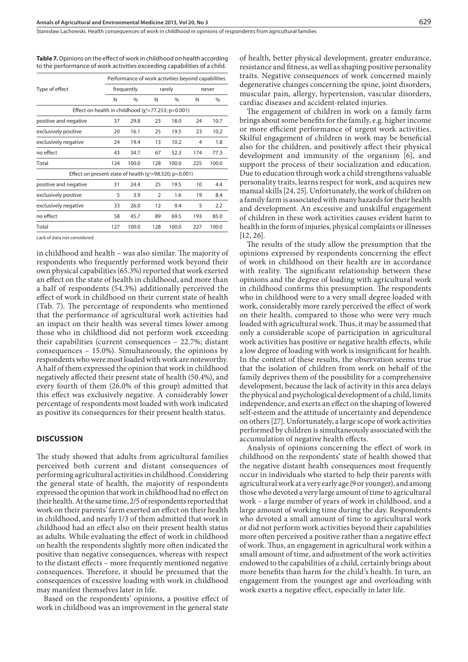Table 7. Opinions on the effect of work in childhood on health according to the performance of work activities exceeding capabilities of a child.

|                                                             |     | Performance of work activities beyond capabilities |                |               |       |       |  |
|-------------------------------------------------------------|-----|----------------------------------------------------|----------------|---------------|-------|-------|--|
| Type of effect                                              |     | frequently                                         |                | rarely        | never |       |  |
|                                                             | N   | $\%$                                               | N              | $\frac{0}{0}$ | N     | $\%$  |  |
| Effect on health in childhood $(y^2=77.253; p<0.001)$       |     |                                                    |                |               |       |       |  |
| positive and negative                                       | 37  | 29.8                                               | 23             | 18.0          | 24    | 10.7  |  |
| exclusively positive                                        | 20  | 16.1                                               | 25             | 19.5          | 23    | 10.2  |  |
| exclusively negative                                        | 24  | 19.4                                               | 13             | 10.2          | 4     | 1.8   |  |
| no effect                                                   | 43  | 34.7                                               | 67             | 52.3          | 174   | 77.3  |  |
| Total                                                       | 124 | 100.0                                              | 128            | 100.0         | 225   | 100.0 |  |
| Effect on present state of health ( $x^2$ =98.320; p<0.001) |     |                                                    |                |               |       |       |  |
| positive and negative                                       | 31  | 24.4                                               | 25             | 19.5          | 10    | 4.4   |  |
| exclusively positive                                        | 5   | 3.9                                                | $\overline{2}$ | 1.6           | 19    | 8.4   |  |
| exclusively negative                                        | 33  | 26.0                                               | 12             | 9.4           | 5     | 2.2   |  |
| no effect                                                   | 58  | 45.7                                               | 89             | 69.5          | 193   | 85.0  |  |
| Total                                                       | 127 | 100.0                                              | 128            | 100.0         | 227   | 100.0 |  |

Lack of data not considered

in childhood and health – was also similar. The majority of respondents who frequently performed work beyond their own physical capabilities (65.3%) reported that work exerted an effect on the state of health in childhood, and more than a half of respondents (54.3%) additionally perceived the effect of work in childhood on their current state of health (Tab. 7). The percentage of respondents who mentioned that the performance of agricultural work activities had an impact on their health was several times lower among those who in childhood did not perform work exceeding their capabilities (current consequences – 22.7%; distant consequences – 15.0%). Simultaneously, the opinions by respondents who were most loaded with work are noteworthy. A half of them expressed the opinion that work in childhood negatively affected their present state of health (50.4%), and every fourth of them (26.0% of this group) admitted that this effect was exclusively negative. A considerably lower percentage of respondents most loaded with work indicated as positive its consequences for their present health status.

#### **Discussion**

The study showed that adults from agricultural families perceived both current and distant consequences of performing agricultural activities in childhood. Considering the general state of health, the majority of respondents expressed the opinion that work in childhood had no effect on their health. At the same time, 2/5 of respondents reported that work on their parents' farm exerted an effect on their health in childhood, and nearly 1/3 of them admitted that work in childhood had an effect also on their present health status as adults. While evaluating the effect of work in childhood on health the respondents slightly more often indicated the positive than negative consequences, whereas with respect to the distant effects – more frequently mentioned negative consequences. Therefore, it should be presumed that the consequences of excessive loading with work in childhood may manifest themselves later in life.

Based on the respondents' opinions, a positive effect of work in childhood was an improvement in the general state

of health, better physical development, greater endurance, resistance and fitness, as well as shaping positive personality traits. Negative consequences of work concerned mainly degenerative changes concerning the spine, joint disorders, muscular pain, allergy, hypertension, vascular disorders, cardiac diseases and accident-related injuries.

The engagement of children in work on a family farm brings about some benefits for the family, e.g. higher income or more efficient performance of urgent work activities. Skilful engagement of children in work may be beneficial also for the children, and positively affect their physical development and immunity of the organism [6], and support the process of their socialization and education. Due to education through work a child strengthens valuable personality traits, learns respect for work, and acquires new manual skills [24, 25]. Unfortunately, the work of children on a family farm is associated with many hazards for their health and development. An excessive and unskilful engagement of children in these work activities causes evident harm to health in the form of injuries, physical complaints or illnesses [12, 26].

The results of the study allow the presumption that the opinions expressed by respondents concerning the effect of work in childhood on their health are in accordance with reality. The significant relationship between these opinions and the degree of loading with agricultural work in childhood confirms this presumption. The respondents who in childhood were to a very small degree loaded with work, considerably more rarely perceived the effect of work on their health, compared to those who were very much loaded with agricultural work. Thus, it may be assumed that only a considerable scope of participation in agricultural work activities has positive or negative health effects, while a low degree of loading with work is insignificant for health. In the context of these results, the observation seems true that the isolation of children from work on behalf of the family deprives them of the possibility for a comprehensive development, because the lack of activity in this area delays the physical and psychological development of a child, limits independence, and exerts an effect on the shaping of lowered self-esteem and the attitude of uncertainty and dependence on others [27]. Unfortunately, a large scope of work activities performed by children is simultaneously associated with the accumulation of negative health effects.

Analysis of opinions concerning the effect of work in childhood on the respondents' state of health showed that the negative distant health consequences most frequently occur in individuals who started to help their parents with agricultural work at a very early age (9 or younger), and among those who devoted a very large amount of time to agricultural work – a large number of years of work in childhood, and a large amount of working time during the day. Respondents who devoted a small amount of time to agricultural work or did not perform work activities beyond their capabilities more often perceived a positive rather than a negative effect of work. Thus, an engagement in agricultural work within a small amount of time, and adjustment of the work activities endowed to the capabilities of a child, certainly brings about more benefits than harm for the child's health. In turn, an engagement from the youngest age and overloading with work exerts a negative effect, especially in later life.